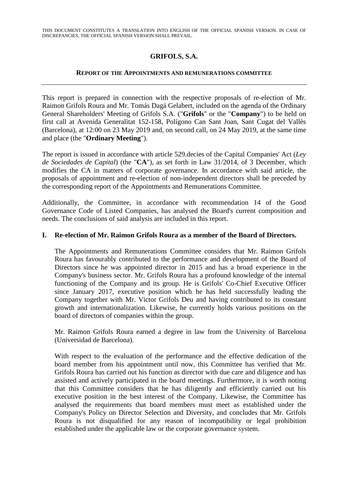THIS DOCUMENT CONSTITUTES A TRANSLATION INTO ENGLISH OF THE OFFICIAL SPANISH VERSION. IN CASE OF DISCREPANCIES, THE OFFICIAL SPANISH VERSION SHALL PREVAIL.

# **GRIFOLS, S.A.**

#### **REPORT OF THE APPOINTMENTS AND REMUNERATIONS COMMITTEE**

This report is prepared in connection with the respective proposals of re-election of Mr. Raimon Grifols Roura and Mr. Tomás Dagá Gelabert, included on the agenda of the Ordinary General Shareholders' Meeting of Grifols S.A. ("**Grifols**" or the "**Company**") to be held on first call at Avenida Generalitat 152-158, Polígono Can Sant Joan, Sant Cugat del Vallès (Barcelona), at 12:00 on 23 May 2019 and, on second call, on 24 May 2019, at the same time and place (the "**Ordinary Meeting**").

The report is issued in accordance with article 529.decies of the Capital Companies' Act (*Ley de Sociedades de Capital*) (the "**CA**"), as set forth in Law 31/2014, of 3 December, which modifies the CA in matters of corporate governance. In accordance with said article, the proposals of appointment and re-election of non-independent directors shall be preceded by the corresponding report of the Appointments and Remunerations Committee.

Additionally, the Committee, in accordance with recommendation 14 of the Good Governance Code of Listed Companies, has analysed the Board's current composition and needs. The conclusions of said analysis are included in this report.

### **I. Re-election of Mr. Raimon Grifols Roura as a member of the Board of Directors.**

The Appointments and Remunerations Committee considers that Mr. Raimon Grifols Roura has favourably contributed to the performance and development of the Board of Directors since he was appointed director in 2015 and has a broad experience in the Company's business sector. Mr. Grifols Roura has a profound knowledge of the internal functioning of the Company and its group. He is Grifols' Co-Chief Executive Officer since January 2017, executive position which he has held successfully leading the Company together with Mr. Victor Grifols Deu and having contributed to its constant growth and internationalization. Likewise, he currently holds various positions on the board of directors of companies within the group.

Mr. Raimon Grifols Roura earned a degree in law from the University of Barcelona (Universidad de Barcelona).

With respect to the evaluation of the performance and the effective dedication of the board member from his appointment until now, this Committee has verified that Mr. Grifols Roura has carried out his function as director with due care and diligence and has assisted and actively participated in the board meetings. Furthermore, it is worth noting that this Committee considers that he has diligently and efficiently carried out his executive position in the best interest of the Company. Likewise, the Committee has analysed the requirements that board members must meet as established under the Company's Policy on Director Selection and Diversity, and concludes that Mr. Grifols Roura is not disqualified for any reason of incompatibility or legal prohibition established under the applicable law or the corporate governance system.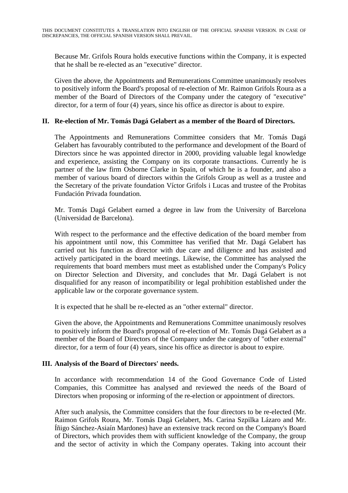Because Mr. Grifols Roura holds executive functions within the Company, it is expected that he shall be re-elected as an "executive" director.

Given the above, the Appointments and Remunerations Committee unanimously resolves to positively inform the Board's proposal of re-election of Mr. Raimon Grifols Roura as a member of the Board of Directors of the Company under the category of "executive" director, for a term of four (4) years, since his office as director is about to expire.

### **II. Re-election of Mr. Tomás Dagá Gelabert as a member of the Board of Directors.**

The Appointments and Remunerations Committee considers that Mr. Tomás Dagá Gelabert has favourably contributed to the performance and development of the Board of Directors since he was appointed director in 2000, providing valuable legal knowledge and experience, assisting the Company on its corporate transactions. Currently he is partner of the law firm Osborne Clarke in Spain, of which he is a founder, and also a member of various board of directors within the Grifols Group as well as a trustee and the Secretary of the private foundation Víctor Grifols i Lucas and trustee of the Probitas Fundación Privada foundation.

Mr. Tomás Dagá Gelabert earned a degree in law from the University of Barcelona (Universidad de Barcelona).

With respect to the performance and the effective dedication of the board member from his appointment until now, this Committee has verified that Mr. Dagá Gelabert has carried out his function as director with due care and diligence and has assisted and actively participated in the board meetings. Likewise, the Committee has analysed the requirements that board members must meet as established under the Company's Policy on Director Selection and Diversity, and concludes that Mr. Dagá Gelabert is not disqualified for any reason of incompatibility or legal prohibition established under the applicable law or the corporate governance system.

It is expected that he shall be re-elected as an "other external" director.

Given the above, the Appointments and Remunerations Committee unanimously resolves to positively inform the Board's proposal of re-election of Mr. Tomás Dagá Gelabert as a member of the Board of Directors of the Company under the category of "other external" director, for a term of four (4) years, since his office as director is about to expire.

## **III. Analysis of the Board of Directors' needs.**

In accordance with recommendation 14 of the Good Governance Code of Listed Companies, this Committee has analysed and reviewed the needs of the Board of Directors when proposing or informing of the re-election or appointment of directors.

After such analysis, the Committee considers that the four directors to be re-elected (Mr. Raimon Grifols Roura, Mr. Tomás Dagá Gelabert, Ms. Carina Szpilka Lázaro and Mr. Íñigo Sánchez-Asiaín Mardones) have an extensive track record on the Company's Board of Directors, which provides them with sufficient knowledge of the Company, the group and the sector of activity in which the Company operates. Taking into account their